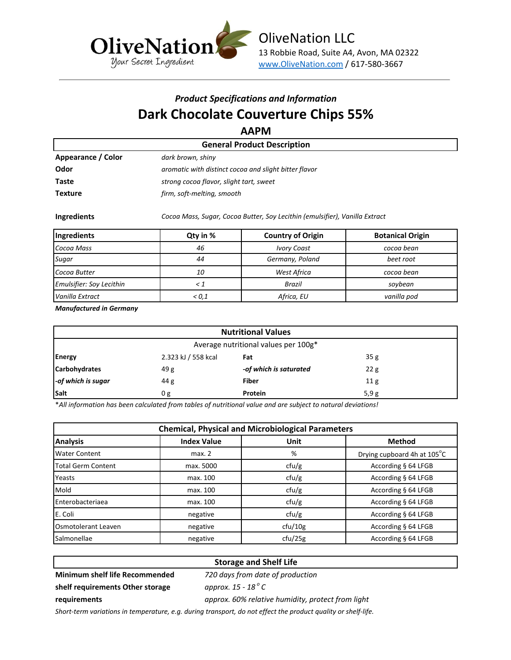

# *Product Specifications and Information* **Dark Chocolate Couverture Chips 55%**

**AAPM**

| AAI IVI                            |                                                                             |  |  |  |  |
|------------------------------------|-----------------------------------------------------------------------------|--|--|--|--|
| <b>General Product Description</b> |                                                                             |  |  |  |  |
| Appearance / Color                 | dark brown, shiny                                                           |  |  |  |  |
| Odor                               | aromatic with distinct cocoa and slight bitter flavor                       |  |  |  |  |
| Taste                              | strong cocoa flavor, slight tart, sweet                                     |  |  |  |  |
| <b>Texture</b>                     | firm, soft-melting, smooth                                                  |  |  |  |  |
| Ingredients                        | Cocoa Mass, Sugar, Cocoa Butter, Soy Lecithin (emulsifier), Vanilla Extract |  |  |  |  |

| Ingredients                     | Qty in % | <b>Country of Origin</b> | <b>Botanical Origin</b> |
|---------------------------------|----------|--------------------------|-------------------------|
| Cocoa Mass                      | 46       | <b>Ivory Coast</b>       | cocoa bean              |
| Sugar                           | 44       | Germany, Poland          | beet root               |
| Cocoa Butter                    | 10       | West Africa              | cocoa bean              |
| <b>Emulsifier: Soy Lecithin</b> |          | <b>Brazil</b>            | sovbean                 |
| Vanilla Extract                 | < 0.1    | Africa, EU               | vanilla pod             |

*Manufactured in Germany*

| <b>Nutritional Values</b>            |                     |                        |      |
|--------------------------------------|---------------------|------------------------|------|
| Average nutritional values per 100g* |                     |                        |      |
| <b>Energy</b>                        | 2.323 kJ / 558 kcal | Fat                    | 35g  |
| <b>Carbohydrates</b>                 | 49g                 | -of which is saturated | 22g  |
| -of which is sugar                   | 44 g                | <b>Fiber</b>           | 11g  |
| Salt                                 | 0 <sub>g</sub>      | Protein                | 5,9g |

\**All information has been calculated from tables of nutritional value and are subject to natural deviations!*

| <b>Chemical, Physical and Microbiological Parameters</b> |                    |         |                             |  |
|----------------------------------------------------------|--------------------|---------|-----------------------------|--|
| <b>Analysis</b>                                          | <b>Index Value</b> | Unit    | <b>Method</b>               |  |
| <b>Water Content</b>                                     | max. 2             | %       | Drying cupboard 4h at 105°C |  |
| <b>Total Germ Content</b>                                | max. 5000          | ctu/g   | According § 64 LFGB         |  |
| Yeasts                                                   | max. 100           | ctu/g   | According § 64 LFGB         |  |
| <b>Mold</b>                                              | max. 100           | ctu/g   | According § 64 LFGB         |  |
| <b>I</b> Enterobacteriaea                                | max. 100           | ctu/g   | According § 64 LFGB         |  |
| E. Coli                                                  | negative           | ctu/g   | According § 64 LFGB         |  |
| <b>Osmotolerant Leaven</b>                               | negative           | cfu/10g | According § 64 LFGB         |  |
| <b>Salmonellae</b>                                       | negative           | ctu/25g | According § 64 LFGB         |  |

### **Storage and Shelf Life**

**Minimum shelf life Recommended shelf requirements Other storage** 

*720 days from date of production approx. 15 - 18 <sup>o</sup> C*

*approx. 60% relative humidity, protect from light*

**requirements**

*Short-term variations in temperature, e.g. during transport, do not effect the product quality or shelf-life.*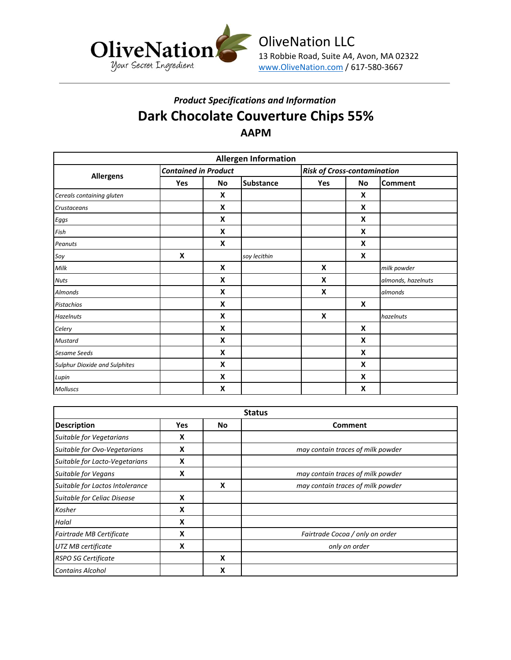

## *Product Specifications and Information* **Dark Chocolate Couverture Chips 55% AAPM**

| <b>Allergen Information</b>          |                             |           |                  |                                    |    |                    |
|--------------------------------------|-----------------------------|-----------|------------------|------------------------------------|----|--------------------|
|                                      | <b>Contained in Product</b> |           |                  | <b>Risk of Cross-contamination</b> |    |                    |
| <b>Allergens</b>                     | Yes                         | <b>No</b> | <b>Substance</b> | Yes                                | No | <b>Comment</b>     |
| Cereals containing gluten            |                             | X         |                  |                                    | X  |                    |
| Crustaceans                          |                             | X         |                  |                                    | X  |                    |
| Eggs                                 |                             | X         |                  |                                    | X  |                    |
| Fish                                 |                             | X         |                  |                                    | X  |                    |
| Peanuts                              |                             | X         |                  |                                    | X  |                    |
| Soy                                  | X                           |           | soy lecithin     |                                    | X  |                    |
| Milk                                 |                             | X         |                  | X                                  |    | milk powder        |
| <b>Nuts</b>                          |                             | X         |                  | X                                  |    | almonds, hazelnuts |
| <b>Almonds</b>                       |                             | X         |                  | X                                  |    | almonds            |
| <b>Pistachios</b>                    |                             | X         |                  |                                    | X  |                    |
| <b>Hazelnuts</b>                     |                             | X         |                  | X                                  |    | hazelnuts          |
| Celery                               |                             | X         |                  |                                    | X  |                    |
| <b>Mustard</b>                       |                             | X         |                  |                                    | X  |                    |
| <b>Sesame Seeds</b>                  |                             | X         |                  |                                    | X  |                    |
| <b>Sulphur Dioxide and Sulphites</b> |                             | X         |                  |                                    | X  |                    |
| Lupin                                |                             | X         |                  |                                    | X  |                    |
| <b>Molluscs</b>                      |                             | X         |                  |                                    | X  |                    |

| <b>Status</b>                   |            |    |                                   |  |  |
|---------------------------------|------------|----|-----------------------------------|--|--|
| <b>Description</b>              | <b>Yes</b> | No | <b>Comment</b>                    |  |  |
| Suitable for Vegetarians        | X          |    |                                   |  |  |
| Suitable for Ovo-Vegetarians    | X          |    | may contain traces of milk powder |  |  |
| Suitable for Lacto-Vegetarians  | X          |    |                                   |  |  |
| <b>Suitable for Vegans</b>      | X          |    | may contain traces of milk powder |  |  |
| Suitable for Lactos Intolerance |            | X  | may contain traces of milk powder |  |  |
| Suitable for Celiac Disease     | X          |    |                                   |  |  |
| Kosher                          | x          |    |                                   |  |  |
| Halal                           | X          |    |                                   |  |  |
| Fairtrade MB Certificate        | x          |    | Fairtrade Cocoa / only on order   |  |  |
| UTZ MB certificate              | X          |    | only on order                     |  |  |
| <b>RSPO SG Certificate</b>      |            | X  |                                   |  |  |
| <b>Contains Alcohol</b>         |            | x  |                                   |  |  |